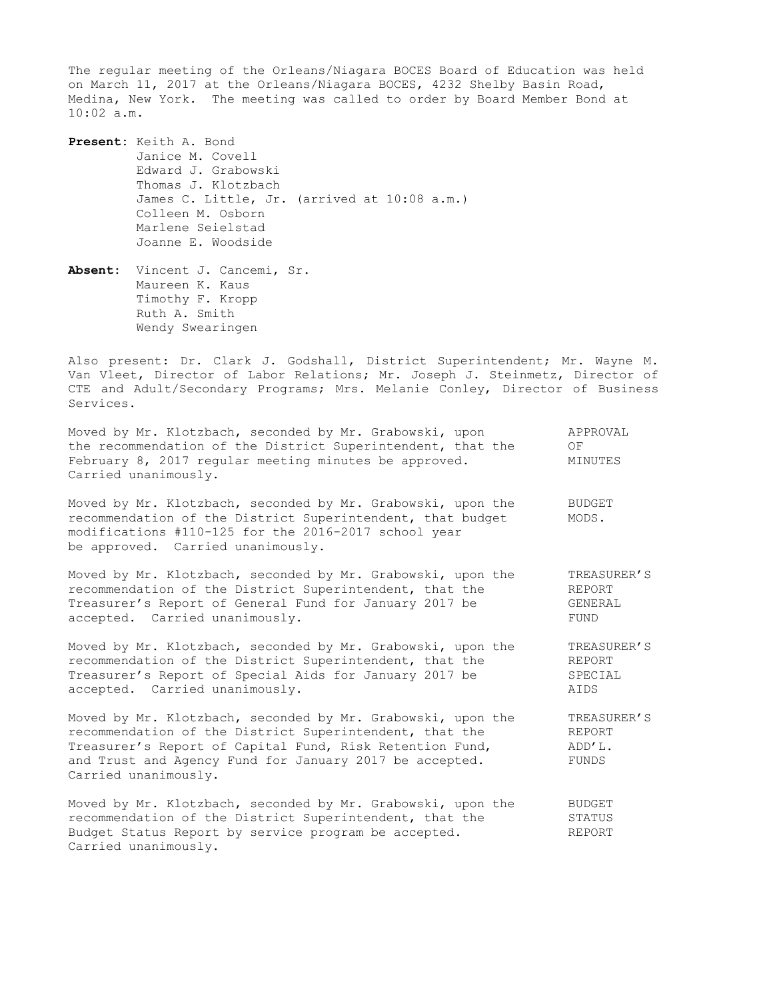The regular meeting of the Orleans/Niagara BOCES Board of Education was held on March 11, 2017 at the Orleans/Niagara BOCES, 4232 Shelby Basin Road, Medina, New York. The meeting was called to order by Board Member Bond at 10:02 a.m.

**Present:** Keith A. Bond Janice M. Covell Edward J. Grabowski Thomas J. Klotzbach James C. Little, Jr. (arrived at 10:08 a.m.) Colleen M. Osborn Marlene Seielstad Joanne E. Woodside

**Absent:** Vincent J. Cancemi, Sr. Maureen K. Kaus Timothy F. Kropp Ruth A. Smith Wendy Swearingen

Also present: Dr. Clark J. Godshall, District Superintendent; Mr. Wayne M. Van Vleet, Director of Labor Relations; Mr. Joseph J. Steinmetz, Director of CTE and Adult/Secondary Programs; Mrs. Melanie Conley, Director of Business Services.

| Moved by Mr. Klotzbach, seconded by Mr. Grabowski, upon<br>the recommendation of the District Superintendent, that the<br>February 8, 2017 regular meeting minutes be approved.<br>Carried unanimously.                                                               | APPROVAL<br>OF<br>MINUTES                |
|-----------------------------------------------------------------------------------------------------------------------------------------------------------------------------------------------------------------------------------------------------------------------|------------------------------------------|
| Moved by Mr. Klotzbach, seconded by Mr. Grabowski, upon the<br>recommendation of the District Superintendent, that budget<br>modifications #110-125 for the 2016-2017 school year<br>be approved. Carried unanimously.                                                | <b>BUDGET</b><br>MODS.                   |
| Moved by Mr. Klotzbach, seconded by Mr. Grabowski, upon the                                                                                                                                                                                                           | TREASURER'S                              |
| recommendation of the District Superintendent, that the                                                                                                                                                                                                               | REPORT                                   |
| Treasurer's Report of General Fund for January 2017 be                                                                                                                                                                                                                | GENERAL                                  |
| accepted. Carried unanimously.                                                                                                                                                                                                                                        | FUND                                     |
| Moved by Mr. Klotzbach, seconded by Mr. Grabowski, upon the                                                                                                                                                                                                           | TREASURER'S                              |
| recommendation of the District Superintendent, that the                                                                                                                                                                                                               | REPORT                                   |
| Treasurer's Report of Special Aids for January 2017 be                                                                                                                                                                                                                | SPECIAL                                  |
| accepted. Carried unanimously.                                                                                                                                                                                                                                        | AIDS                                     |
| Moved by Mr. Klotzbach, seconded by Mr. Grabowski, upon the<br>recommendation of the District Superintendent, that the<br>Treasurer's Report of Capital Fund, Risk Retention Fund,<br>and Trust and Agency Fund for January 2017 be accepted.<br>Carried unanimously. | TREASURER'S<br>REPORT<br>ADD'L.<br>FUNDS |
| Moved by Mr. Klotzbach, seconded by Mr. Grabowski, upon the                                                                                                                                                                                                           | <b>BUDGET</b>                            |
| recommendation of the District Superintendent, that the                                                                                                                                                                                                               | STATUS                                   |
| Budget Status Report by service program be accepted.                                                                                                                                                                                                                  | <b>REPORT</b>                            |

Carried unanimously.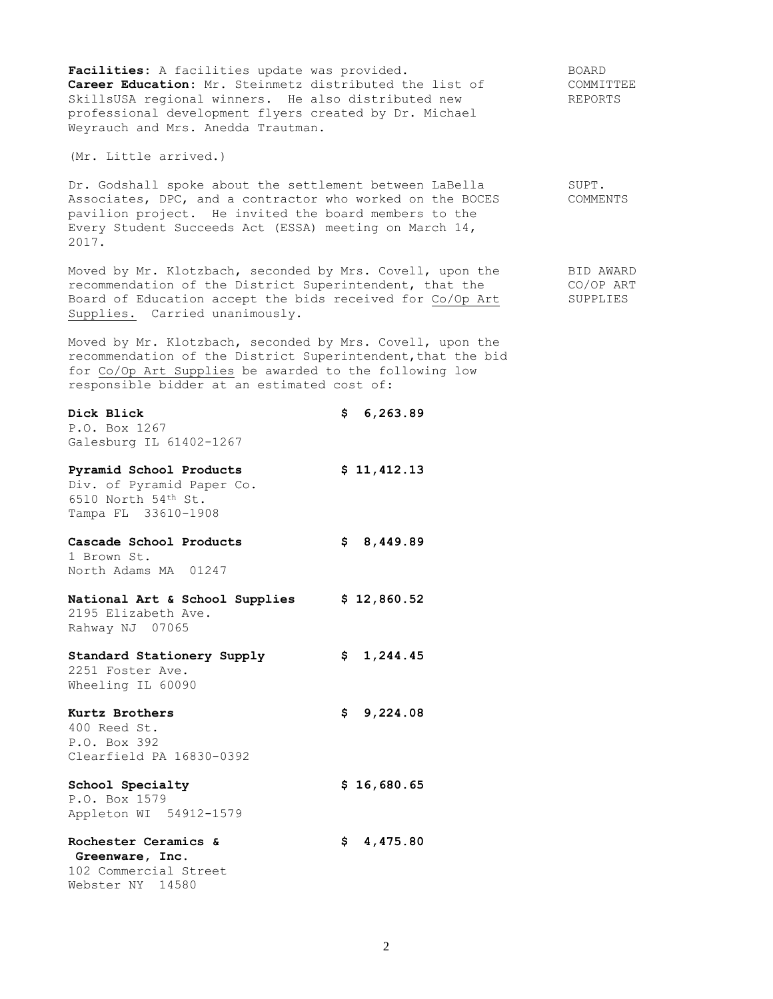| Facilities: A facilities update was provided.<br>Career Education: Mr. Steinmetz distributed the list of<br>SkillsUSA regional winners. He also distributed new<br>professional development flyers created by Dr. Michael<br>Weyrauch and Mrs. Anedda Trautman. |             | BOARD<br>COMMITTEE<br>REPORTS      |
|-----------------------------------------------------------------------------------------------------------------------------------------------------------------------------------------------------------------------------------------------------------------|-------------|------------------------------------|
| (Mr. Little arrived.)                                                                                                                                                                                                                                           |             |                                    |
| Dr. Godshall spoke about the settlement between LaBella<br>Associates, DPC, and a contractor who worked on the BOCES<br>pavilion project. He invited the board members to the<br>Every Student Succeeds Act (ESSA) meeting on March 14,<br>2017.                |             | SUPT.<br>COMMENTS                  |
| Moved by Mr. Klotzbach, seconded by Mrs. Covell, upon the<br>recommendation of the District Superintendent, that the<br>Board of Education accept the bids received for Co/Op Art<br>Supplies. Carried unanimously.                                             |             | BID AWARD<br>CO/OP ART<br>SUPPLIES |
| Moved by Mr. Klotzbach, seconded by Mrs. Covell, upon the<br>recommendation of the District Superintendent, that the bid<br>for Co/Op Art Supplies be awarded to the following low<br>responsible bidder at an estimated cost of:                               |             |                                    |
| Dick Blick<br>P.O. Box 1267<br>Galesburg IL 61402-1267                                                                                                                                                                                                          | \$6,263.89  |                                    |
| Pyramid School Products<br>Div. of Pyramid Paper Co.<br>6510 North 54th St.<br>Tampa FL 33610-1908                                                                                                                                                              | \$11,412.13 |                                    |
| Cascade School Products<br>1 Brown St.<br>North Adams MA 01247                                                                                                                                                                                                  | \$8,449.89  |                                    |
| National Art & School Supplies<br>2195 Elizabeth Ave.<br>Rahway NJ 07065                                                                                                                                                                                        | \$12,860.52 |                                    |
| Standard Stationery Supply<br>2251 Foster Ave.<br>Wheeling IL 60090                                                                                                                                                                                             | \$1,244.45  |                                    |
| Kurtz Brothers<br>400 Reed St.<br>P.O. Box 392<br>Clearfield PA 16830-0392                                                                                                                                                                                      | \$9,224.08  |                                    |
| School Specialty<br>P.O. Box 1579<br>Appleton WI 54912-1579                                                                                                                                                                                                     | \$16,680.65 |                                    |
| Rochester Ceramics &<br>Greenware, Inc.<br>102 Commercial Street<br>Webster NY 14580                                                                                                                                                                            | \$4,475.80  |                                    |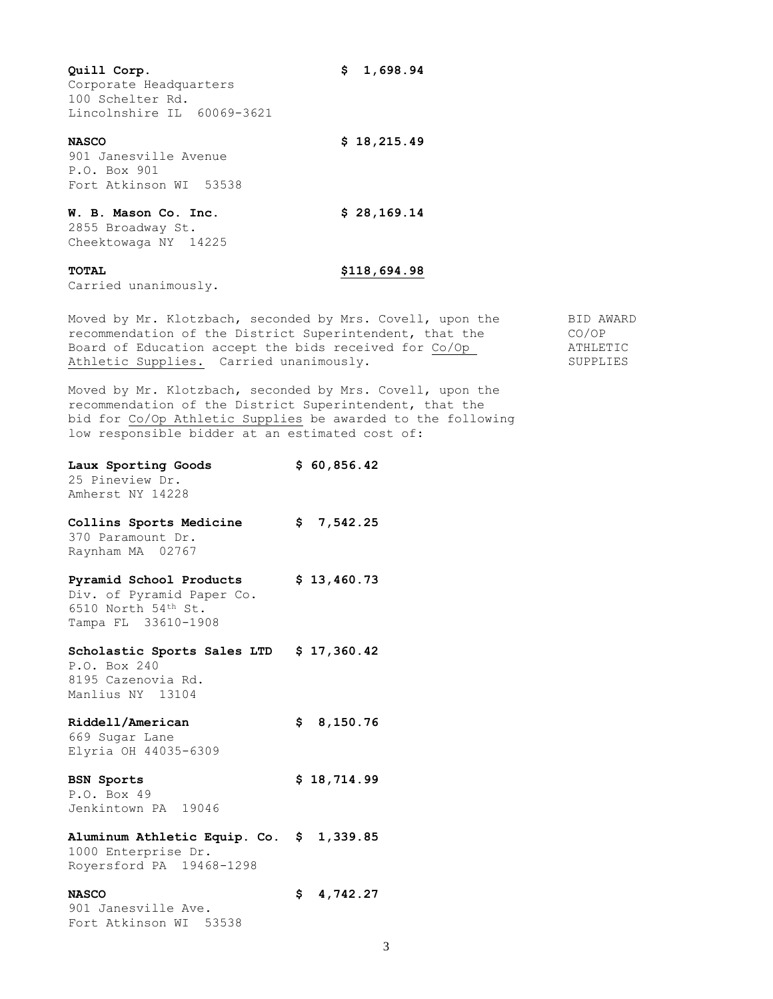**Quill Corp. \$ 1,698.94** Corporate Headquarters 100 Schelter Rd. Lincolnshire IL 60069-3621 **NASCO \$ 18,215.49** 901 Janesville Avenue P.O. Box 901 Fort Atkinson WI 53538 **W. B. Mason Co. Inc. \$ 28,169.14** 2855 Broadway St. Cheektowaga NY 14225 **TOTAL \$118,694.98**

Carried unanimously.

Moved by Mr. Klotzbach, seconded by Mrs. Covell, upon the BID AWARD recommendation of the District Superintendent, that the CO/OP<br>Board of Education accept the bids received for Co/Op ATHLETIC Board of Education accept the bids received for Co/Op Athletic Supplies. Carried unanimously. The supplies of the supplies

Moved by Mr. Klotzbach, seconded by Mrs. Covell, upon the recommendation of the District Superintendent, that the bid for Co/Op Athletic Supplies be awarded to the following low responsible bidder at an estimated cost of:

| Laux Sporting Goods<br>25 Pineview Dr.<br>Amherst NY 14228                                         |     | \$60,856.42 |
|----------------------------------------------------------------------------------------------------|-----|-------------|
| Collins Sports Medicine<br>370 Paramount Dr.<br>Raynham MA 02767                                   |     | \$7,542.25  |
| Pyramid School Products<br>Div. of Pyramid Paper Co.<br>6510 North 54th St.<br>Tampa FL 33610-1908 |     | \$13,460.73 |
| Scholastic Sports Sales LTD<br>P.O. Box 240<br>8195 Cazenovia Rd.<br>Manlius NY 13104              |     | \$17,360.42 |
| Riddell/American<br>669 Sugar Lane<br>Elyria OH 44035-6309                                         |     | \$8,150.76  |
| <b>BSN Sports</b><br>P.O. Box 49<br>Jenkintown PA 19046                                            |     | \$18,714.99 |
| Aluminum Athletic Equip. Co. \$ 1,339.85<br>1000 Enterprise Dr.<br>Royersford PA 19468-1298        |     |             |
| <b>NASCO</b><br>901 Janesville Ave.<br>Fort Atkinson WI 53538                                      | \$. | 4,742.27    |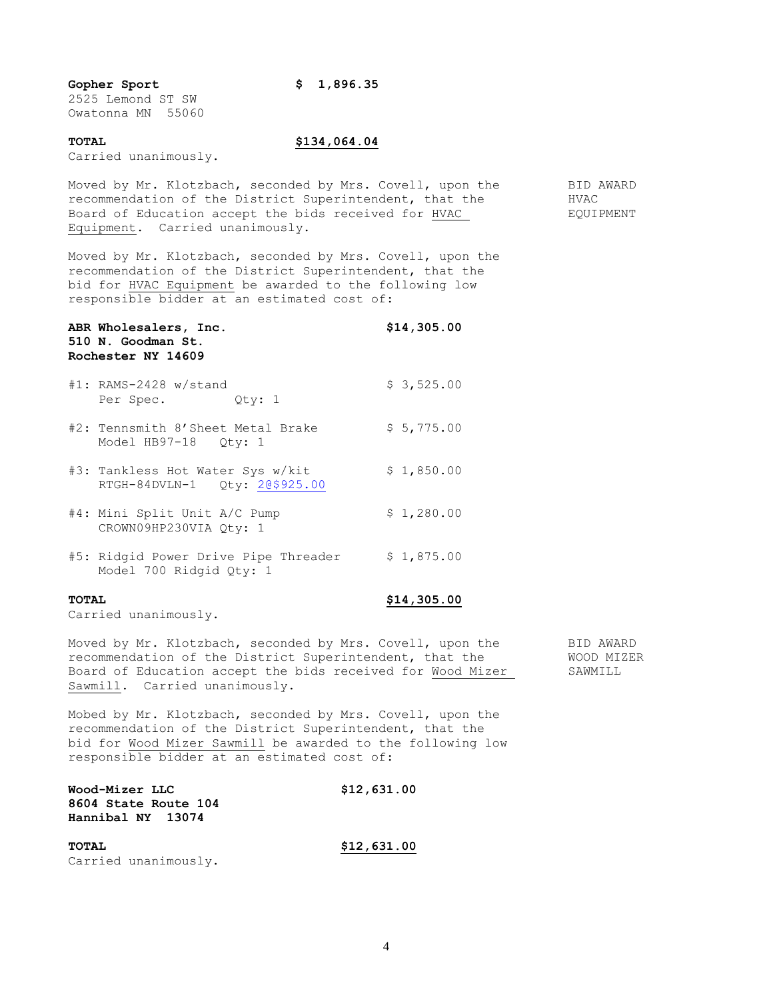# **Gopher Sport \$ 1,896.35**

2525 Lemond ST SW Owatonna MN 55060

# **TOTAL \$134,064.04**

Carried unanimously.

Moved by Mr. Klotzbach, seconded by Mrs. Covell, upon the BID AWARD recommendation of the District Superintendent, that the  $HVAC$ Board of Education accept the bids received for HVAC EQUIPMENT Equipment. Carried unanimously.

Moved by Mr. Klotzbach, seconded by Mrs. Covell, upon the recommendation of the District Superintendent, that the bid for HVAC Equipment be awarded to the following low responsible bidder at an estimated cost of:

| ABR Wholesalers, Inc.<br>510 N. Goodman St.<br>Rochester NY 14609 | \$14,305.00 |
|-------------------------------------------------------------------|-------------|
| $#1$ : RAMS-2428 w/stand<br>Per Spec. Qty: 1                      | \$3,525.00  |
| #2: Tennsmith 8'Sheet Metal Brake<br>Model HB97-18 Qty: 1         | \$5,775.00  |
| #3: Tankless Hot Water Sys w/kit<br>RTGH-84DVLN-1 Qty: 20\$925.00 | \$1,850.00  |
| #4: Mini Split Unit A/C Pump<br>CROWN09HP230VIA Oty: 1            | \$1,280.00  |
| #5: Ridgid Power Drive Pipe Threader<br>Model 700 Ridgid Qty: 1   | \$1,875.00  |
| <b>TOTAL</b>                                                      | \$14,305.00 |

Carried unanimously.

Moved by Mr. Klotzbach, seconded by Mrs. Covell, upon the BID AWARD<br>recommendation of the District Superintendent, that the WOOD MIZER recommendation of the District Superintendent, that the WOOD MIZER Board of Education accept the bids received for Wood Mizer SAWMILL Sawmill. Carried unanimously.

Mobed by Mr. Klotzbach, seconded by Mrs. Covell, upon the recommendation of the District Superintendent, that the bid for Wood Mizer Sawmill be awarded to the following low responsible bidder at an estimated cost of:

| Wood-Mizer LLC       | \$12,631.00 |
|----------------------|-------------|
| 8604 State Route 104 |             |
| Hannibal NY 13074    |             |
| TOTAL                | \$12,631.00 |

Carried unanimously.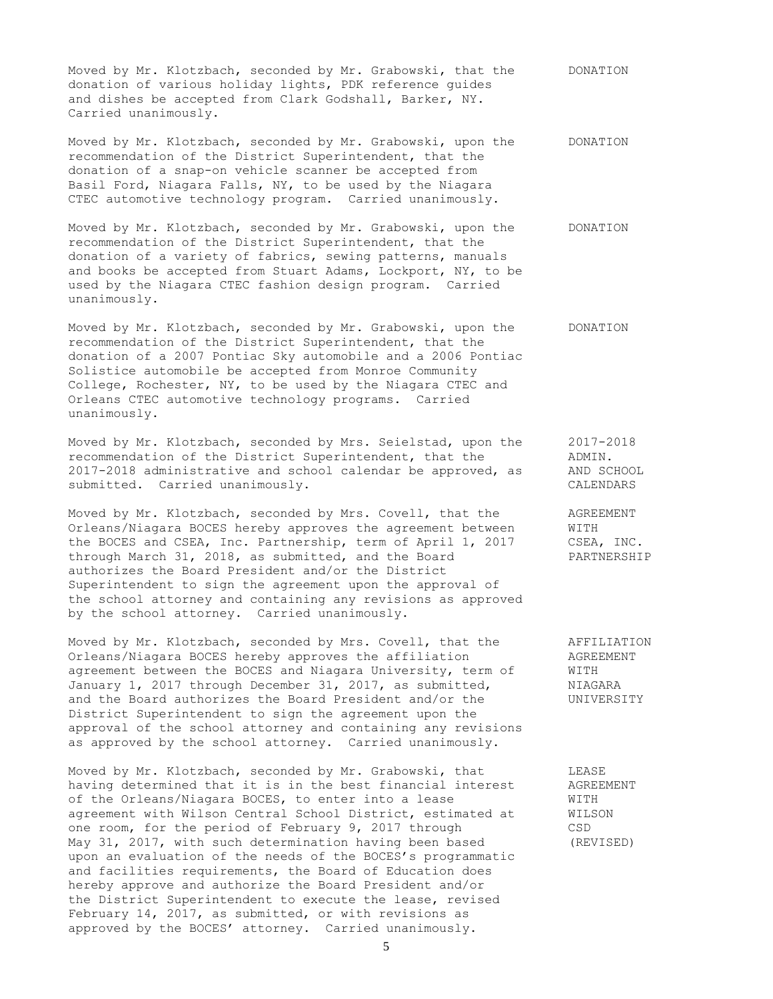Moved by Mr. Klotzbach, seconded by Mr. Grabowski, that the DONATION donation of various holiday lights, PDK reference guides and dishes be accepted from Clark Godshall, Barker, NY. Carried unanimously.

Moved by Mr. Klotzbach, seconded by Mr. Grabowski, upon the DONATION recommendation of the District Superintendent, that the donation of a snap-on vehicle scanner be accepted from Basil Ford, Niagara Falls, NY, to be used by the Niagara CTEC automotive technology program. Carried unanimously.

Moved by Mr. Klotzbach, seconded by Mr. Grabowski, upon the DONATION recommendation of the District Superintendent, that the donation of a variety of fabrics, sewing patterns, manuals and books be accepted from Stuart Adams, Lockport, NY, to be used by the Niagara CTEC fashion design program. Carried unanimously.

Moved by Mr. Klotzbach, seconded by Mr. Grabowski, upon the DONATION recommendation of the District Superintendent, that the donation of a 2007 Pontiac Sky automobile and a 2006 Pontiac Solistice automobile be accepted from Monroe Community College, Rochester, NY, to be used by the Niagara CTEC and Orleans CTEC automotive technology programs. Carried unanimously.

Moved by Mr. Klotzbach, seconded by Mrs. Seielstad, upon the 2017-2018 recommendation of the District Superintendent, that the ADMIN. 2017-2018 administrative and school calendar be approved, as AND SCHOOL submitted. Carried unanimously. The contract of the contract of the contract of the contract of the contract of  $\mathbb{R}^n$ 

Moved by Mr. Klotzbach, seconded by Mrs. Covell, that the AGREEMENT Orleans/Niagara BOCES hereby approves the agreement between WITH the BOCES and CSEA, Inc. Partnership, term of April 1, 2017 CSEA, INC. through March 31, 2018, as submitted, and the Board PARTNERSHIP authorizes the Board President and/or the District Superintendent to sign the agreement upon the approval of the school attorney and containing any revisions as approved by the school attorney. Carried unanimously.

Moved by Mr. Klotzbach, seconded by Mrs. Covell, that the AFFILIATION Orleans/Niagara BOCES hereby approves the affiliation AGREEMENT agreement between the BOCES and Niagara University, term of WITH<br>January 1, 2017 through December 31, 2017, as submitted, WIAGARA January 1, 2017 through December 31, 2017, as submitted, and the Board authorizes the Board President and/or the UNIVERSITY District Superintendent to sign the agreement upon the approval of the school attorney and containing any revisions as approved by the school attorney. Carried unanimously.

Moved by Mr. Klotzbach, seconded by Mr. Grabowski, that LEASE having determined that it is in the best financial interest AGREEMENT of the Orleans/Niagara BOCES, to enter into a lease WITH agreement with Wilson Central School District, estimated at WILSON one room, for the period of February 9, 2017 through CSD May 31, 2017, with such determination having been based (REVISED) upon an evaluation of the needs of the BOCES's programmatic and facilities requirements, the Board of Education does hereby approve and authorize the Board President and/or the District Superintendent to execute the lease, revised February 14, 2017, as submitted, or with revisions as approved by the BOCES' attorney. Carried unanimously.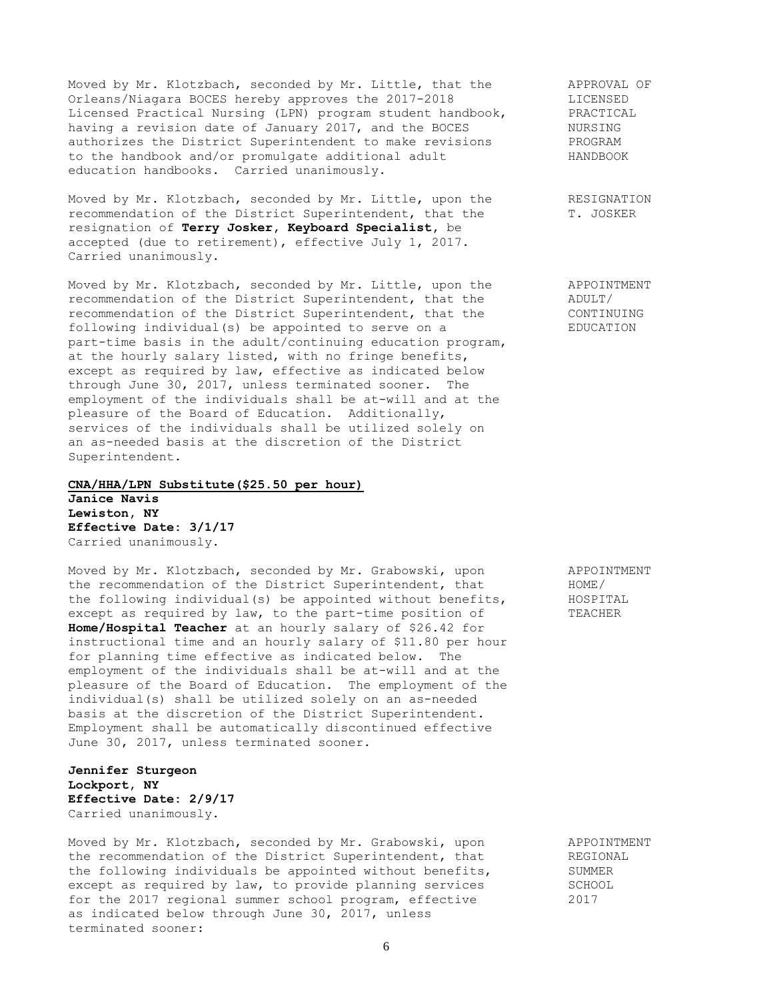Moved by Mr. Klotzbach, seconded by Mr. Little, that the APPROVAL OF<br>Orleans/Niagara BOCES hereby approves the 2017-2018 TRICENSED Orleans/Niagara BOCES hereby approves the 2017-2018 LICENSED<br>Licensed Practical Nursing (LPN) program student handbook, PRACTICAL Licensed Practical Nursing (LPN) program student handbook, PRACTIC<br>having a revision date of January 2017, and the BOCES NURSING having a revision date of January 2017, and the BOCES authorizes the District Superintendent to make revisions PROGRAM to the handbook and/or promulgate additional adult HANDBOOK education handbooks. Carried unanimously.

Moved by Mr. Klotzbach, seconded by Mr. Little, upon the RESIGNATION recommendation of the District Superintendent, that the T. JOSKER resignation of **Terry Josker, Keyboard Specialist,** be accepted (due to retirement), effective July 1, 2017. Carried unanimously.

Moved by Mr. Klotzbach, seconded by Mr. Little, upon the APPOINTMENT<br>recommendation of the District Superintendent, that the ADULT/ recommendation of the District Superintendent, that the  $\overline{ADULT}/$ <br>recommendation of the District Superintendent, that the  $\overline{CONTIMUING}$ recommendation of the District Superintendent, that the following individual(s) be appointed to serve on a EDUCATION part-time basis in the adult/continuing education program, at the hourly salary listed, with no fringe benefits, except as required by law, effective as indicated below through June 30, 2017, unless terminated sooner. The employment of the individuals shall be at-will and at the pleasure of the Board of Education. Additionally, services of the individuals shall be utilized solely on an as-needed basis at the discretion of the District Superintendent.

#### **CNA/HHA/LPN Substitute(\$25.50 per hour)**

**Janice Navis Lewiston, NY Effective Date: 3/1/17** Carried unanimously.

Moved by Mr. Klotzbach, seconded by Mr. Grabowski, upon APPOINTMENT the recommendation of the District Superintendent, that HOME/ the following individual(s) be appointed without benefits, HOSPITAL except as required by law, to the part-time position of TEACHER **Home/Hospital Teacher** at an hourly salary of \$26.42 for instructional time and an hourly salary of \$11.80 per hour for planning time effective as indicated below. The employment of the individuals shall be at-will and at the pleasure of the Board of Education. The employment of the individual(s) shall be utilized solely on an as-needed basis at the discretion of the District Superintendent. Employment shall be automatically discontinued effective June 30, 2017, unless terminated sooner.

**Jennifer Sturgeon Lockport, NY Effective Date: 2/9/17** Carried unanimously.

Moved by Mr. Klotzbach, seconded by Mr. Grabowski, upon APPOINTMENT moved by MI. KIOLZDACH, Seconded by MI. Grabowski, upon arroundministic Arroundent, that REGIONAL the following individuals be appointed without benefits, SUMMER except as required by law, to provide planning services SCHOOL for the 2017 regional summer school program, effective 2017 as indicated below through June 30, 2017, unless terminated sooner: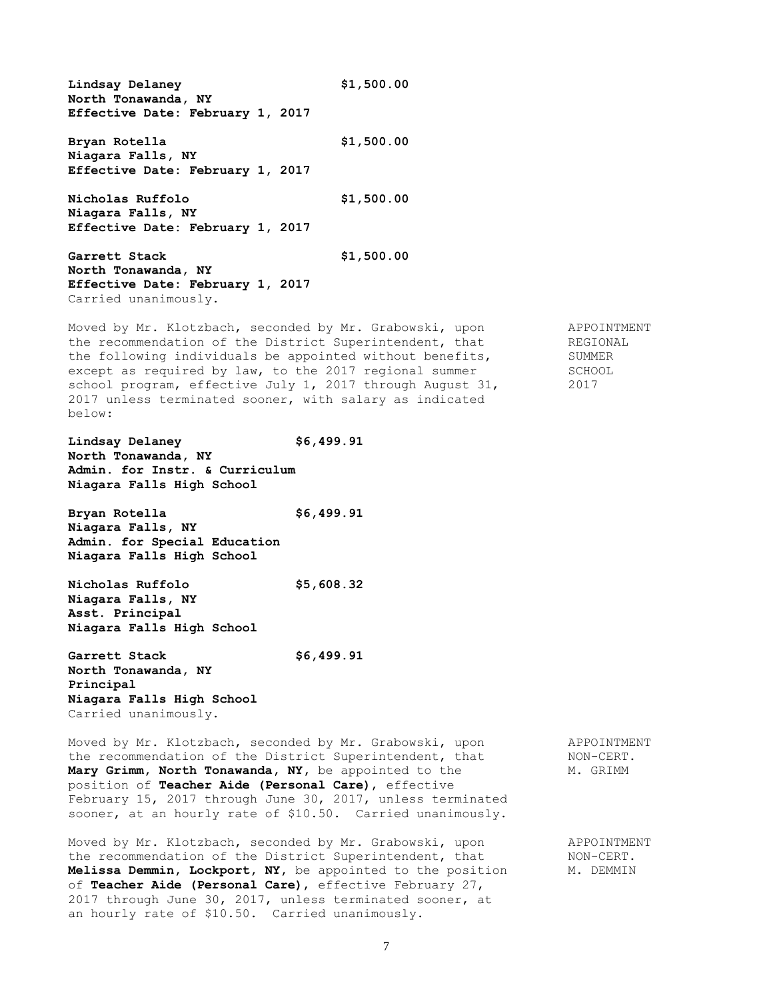**Lindsay Delaney \$1,500.00 North Tonawanda, NY Effective Date: February 1, 2017 Bryan Rotella \$1,500.00 Niagara Falls, NY Effective Date: February 1, 2017 Nicholas Ruffolo \$1,500.00 Niagara Falls, NY Effective Date: February 1, 2017 Garrett Stack \$1,500.00 North Tonawanda, NY Effective Date: February 1, 2017** Carried unanimously. Moved by Mr. Klotzbach, seconded by Mr. Grabowski, upon APPOINTMENT the recommendation of the District Superintendent, that REGIONAL the following individuals be appointed without benefits, SUMMER except as required by law, to the 2017 regional summer SCHOOL school program, effective July 1, 2017 through August 31, 2017 school program, effective July 1, 2017 through August 31, 2017 unless terminated sooner, with salary as indicated below: **Lindsay Delaney \$6,499.91 North Tonawanda, NY Admin. for Instr. & Curriculum Niagara Falls High School Bryan Rotella \$6,499.91 Niagara Falls, NY Admin. for Special Education Niagara Falls High School Nicholas Ruffolo \$5,608.32 Niagara Falls, NY Asst. Principal Niagara Falls High School Garrett Stack \$6,499.91 North Tonawanda, NY Principal Niagara Falls High School** Carried unanimously. Moved by Mr. Klotzbach, seconded by Mr. Grabowski, upon APPOINTMENT the recommendation of the District Superintendent, that MON-CERT. Mary Grimm, North Tonawanda, NY, be appointed to the M. GRIMM position of **Teacher Aide (Personal Care)**, effective February 15, 2017 through June 30, 2017, unless terminated sooner, at an hourly rate of \$10.50. Carried unanimously.

Moved by Mr. Klotzbach, seconded by Mr. Grabowski, upon APPOINTMENT the recommendation of the District Superintendent, that  $NON-CERT$ . **Melissa Demmin, Lockport, NY,** be appointed to the position M. DEMMIN of **Teacher Aide (Personal Care)**, effective February 27, 2017 through June 30, 2017, unless terminated sooner, at an hourly rate of \$10.50. Carried unanimously.

7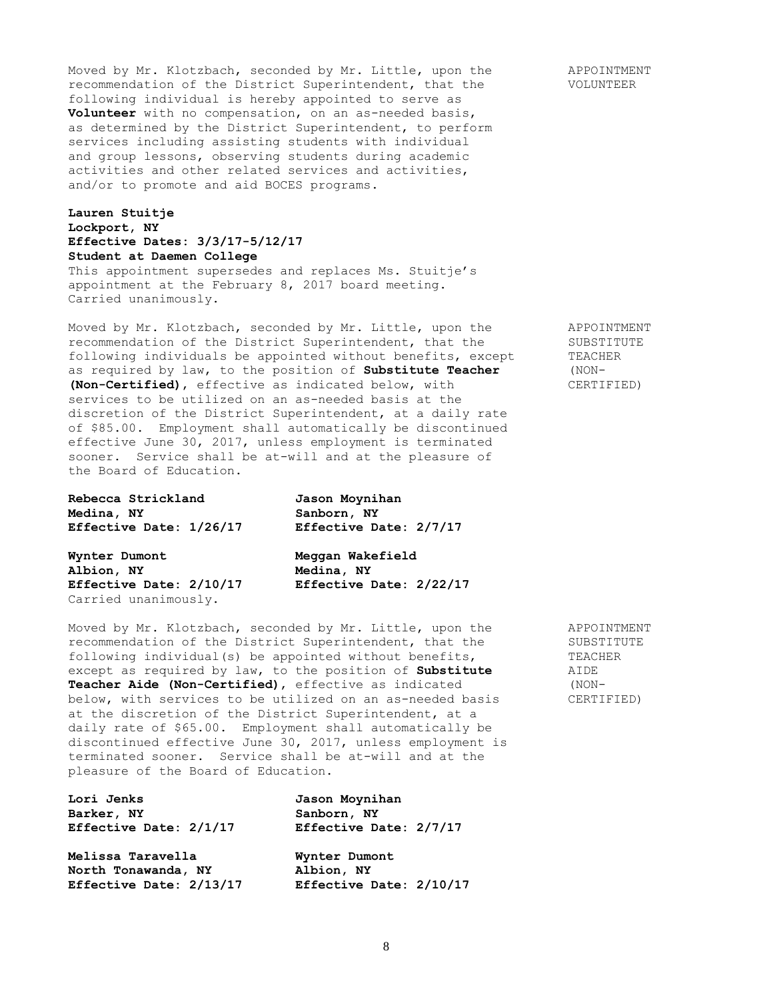Moved by Mr. Klotzbach, seconded by Mr. Little, upon the APPOINTMENT recommendation of the District Superintendent, that the VOLUNTEER following individual is hereby appointed to serve as **Volunteer** with no compensation, on an as-needed basis, as determined by the District Superintendent, to perform services including assisting students with individual and group lessons, observing students during academic activities and other related services and activities, and/or to promote and aid BOCES programs.

# **Lauren Stuitje Lockport, NY Effective Dates: 3/3/17-5/12/17 Student at Daemen College** This appointment supersedes and replaces Ms. Stuitje's appointment at the February 8, 2017 board meeting. Carried unanimously.

Moved by Mr. Klotzbach, seconded by Mr. Little, upon the APPOINTMENT recommendation of the District Superintendent, that the SUBSTITUTE following individuals be appointed without benefits, except TEACHER as required by law, to the position of **Substitute Teacher** (NON- **(Non-Certified)**, effective as indicated below, with CERTIFIED) services to be utilized on an as-needed basis at the discretion of the District Superintendent, at a daily rate of \$85.00. Employment shall automatically be discontinued effective June 30, 2017, unless employment is terminated sooner. Service shall be at-will and at the pleasure of the Board of Education.

| Rebecca Strickland      | Jason Moynihan          |
|-------------------------|-------------------------|
| Medina, NY              | Sanborn, NY             |
| Effective Date: 1/26/17 | Effective Date: 2/7/17  |
| Wynter Dumont           | Meggan Wakefield        |
| Albion, NY              | Medina, NY              |
| Effective Date: 2/10/17 | Effective Date: 2/22/17 |

Carried unanimously.

Moved by Mr. Klotzbach, seconded by Mr. Little, upon the APPOINTMENT recommendation of the District Superintendent, that the SUBSTITUTE following individual(s) be appointed without benefits, TEACHER except as required by law, to the position of **Substitute** AIDE **Teacher Aide (Non-Certified)**, effective as indicated (NON-<br>below, with services to be utilized on an as-needed basis (CERTIFIED) below, with services to be utilized on an as-needed basis at the discretion of the District Superintendent, at a daily rate of \$65.00. Employment shall automatically be discontinued effective June 30, 2017, unless employment is terminated sooner. Service shall be at-will and at the pleasure of the Board of Education.

| Lori Jenks              | Jason Moynihan          |
|-------------------------|-------------------------|
| Barker, NY              | Sanborn, NY             |
| Effective Date: 2/1/17  | Effective Date: 2/7/17  |
| Melissa Taravella       | Wynter Dumont           |
| North Tonawanda, NY     | Albion, NY              |
| Effective Date: 2/13/17 | Effective Date: 2/10/17 |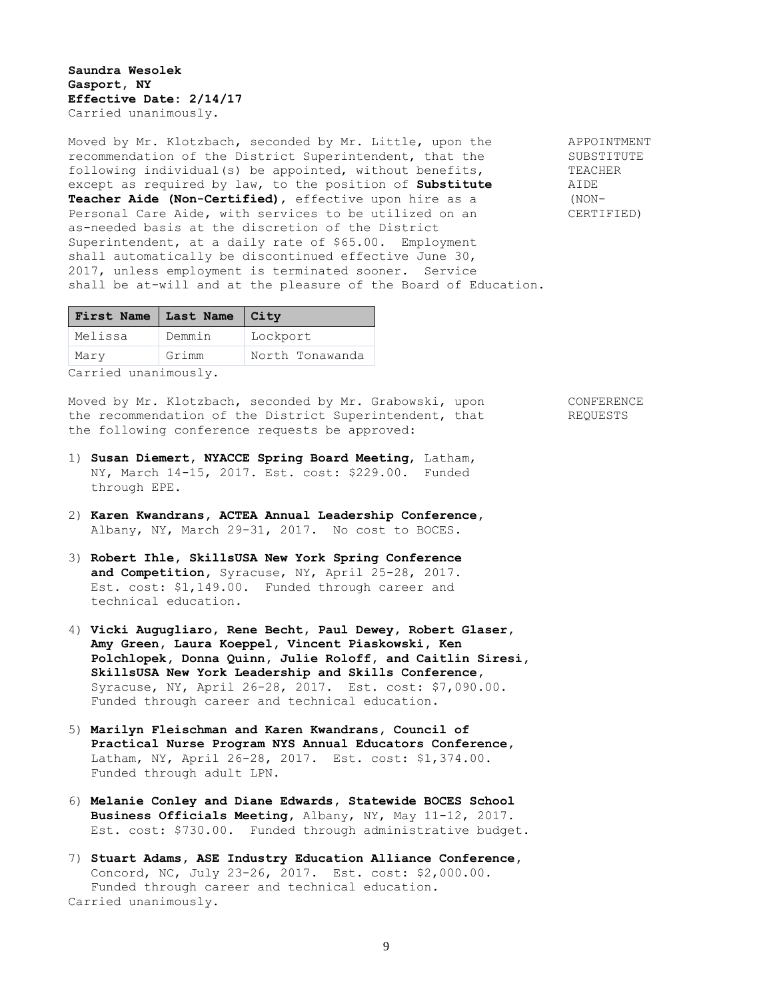### **Saundra Wesolek Gasport, NY Effective Date: 2/14/17** Carried unanimously.

Moved by Mr. Klotzbach, seconded by Mr. Little, upon the APPOINTMENT recommendation of the District Superintendent, that the SUBSTITUTE following individual(s) be appointed, without benefits, TEACHER except as required by law, to the position of **Substitute** AIDE **Teacher Aide (Non-Certified)**, effective upon hire as a (NON-Personal Care Aide, with services to be utilized on an CERTIFIED) as-needed basis at the discretion of the District Superintendent, at a daily rate of \$65.00. Employment shall automatically be discontinued effective June 30, 2017, unless employment is terminated sooner. Service shall be at-will and at the pleasure of the Board of Education.

| First Name   Last Name   City |        |                 |
|-------------------------------|--------|-----------------|
| Melissa                       | Demmin | Lockport        |
| Mary                          | Grimm  | North Tonawanda |
|                               |        |                 |

Carried unanimously.

Moved by Mr. Klotzbach, seconded by Mr. Grabowski, upon CONFERENCE the recommendation of the District Superintendent, that REQUESTS the following conference requests be approved:

- 
- 1) **Susan Diemert, NYACCE Spring Board Meeting**, Latham, NY, March 14-15, 2017. Est. cost: \$229.00. Funded through EPE.
- 2) **Karen Kwandrans, ACTEA Annual Leadership Conference,** Albany, NY, March 29-31, 2017. No cost to BOCES.
- 3) **Robert Ihle, SkillsUSA New York Spring Conference and Competition,** Syracuse, NY, April 25-28, 2017. Est. cost: \$1,149.00. Funded through career and technical education.
- 4) **Vicki Augugliaro, Rene Becht, Paul Dewey, Robert Glaser, Amy Green, Laura Koeppel, Vincent Piaskowski, Ken Polchlopek, Donna Quinn, Julie Roloff, and Caitlin Siresi, SkillsUSA New York Leadership and Skills Conference,**  Syracuse, NY, April 26-28, 2017. Est. cost: \$7,090.00. Funded through career and technical education.
- 5) **Marilyn Fleischman and Karen Kwandrans, Council of Practical Nurse Program NYS Annual Educators Conference,** Latham, NY, April 26-28, 2017. Est. cost: \$1,374.00. Funded through adult LPN.
- 6) **Melanie Conley and Diane Edwards, Statewide BOCES School Business Officials Meeting,** Albany, NY, May 11-12, 2017. Est. cost: \$730.00. Funded through administrative budget.
- 7) **Stuart Adams, ASE Industry Education Alliance Conference,** Concord, NC, July 23-26, 2017. Est. cost: \$2,000.00. Funded through career and technical education. Carried unanimously.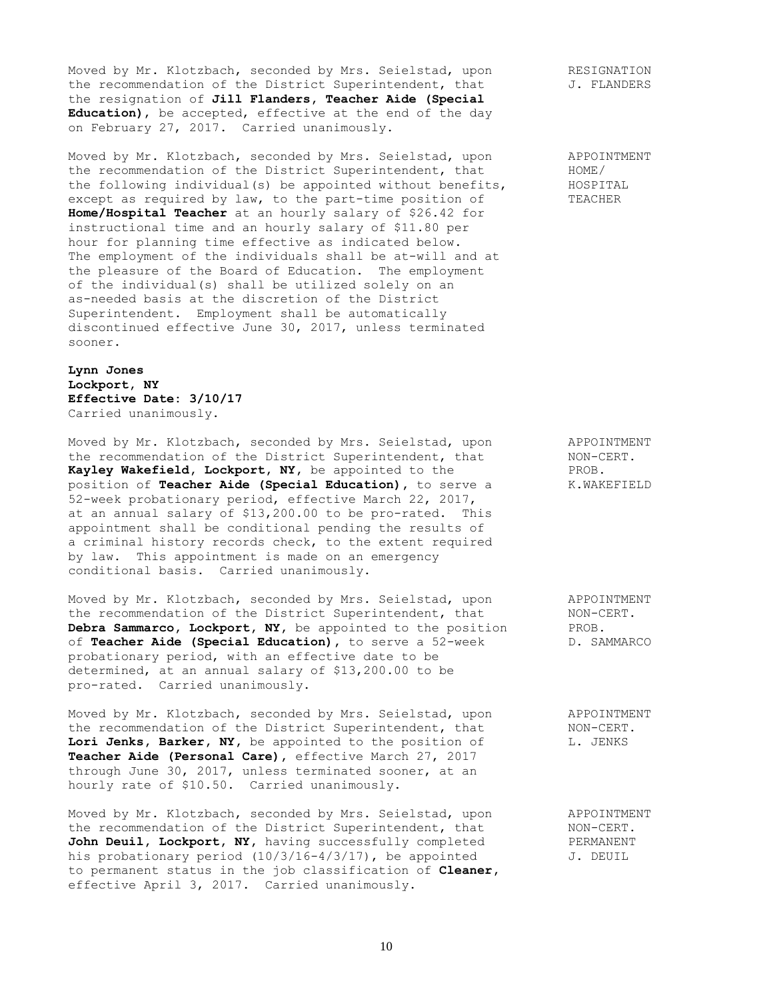Moved by Mr. Klotzbach, seconded by Mrs. Seielstad, upon RESIGNATION the recommendation of the District Superintendent, that  $J.$  FLANDERS the resignation of **Jill Flanders, Teacher Aide (Special Education)**, be accepted, effective at the end of the day on February 27, 2017. Carried unanimously.

Moved by Mr. Klotzbach, seconded by Mrs. Seielstad, upon APPOINTMENT the recommendation of the District Superintendent, that  $HOME$ the following individual(s) be appointed without benefits, HOSPITAL except as required by law, to the part-time position of TEACHER **Home/Hospital Teacher** at an hourly salary of \$26.42 for instructional time and an hourly salary of \$11.80 per hour for planning time effective as indicated below. The employment of the individuals shall be at-will and at the pleasure of the Board of Education. The employment of the individual(s) shall be utilized solely on an as-needed basis at the discretion of the District Superintendent. Employment shall be automatically discontinued effective June 30, 2017, unless terminated sooner.

**Lynn Jones Lockport, NY Effective Date: 3/10/17** Carried unanimously.

Moved by Mr. Klotzbach, seconded by Mrs. Seielstad, upon APPOINTMENT the recommendation of the District Superintendent, that  $NON-CERT$ . **Kayley Wakefield, Lockport, NY,** be appointed to the PROB. position of **Teacher Aide (Special Education)**, to serve a K.WAKEFIELD 52-week probationary period, effective March 22, 2017, at an annual salary of \$13,200.00 to be pro-rated. This appointment shall be conditional pending the results of a criminal history records check, to the extent required by law. This appointment is made on an emergency conditional basis. Carried unanimously.

Moved by Mr. Klotzbach, seconded by Mrs. Seielstad, upon APPOINTMENT the recommendation of the District Superintendent, that MON-CERT. **Debra Sammarco, Lockport, NY,** be appointed to the position PROB.<br>
of **Teacher Aide (Special Education)**, to serve a 52-week D. SAMMARCO of **Teacher Aide (Special Education),** to serve a 52-week probationary period, with an effective date to be determined, at an annual salary of \$13,200.00 to be pro-rated. Carried unanimously.

Moved by Mr. Klotzbach, seconded by Mrs. Seielstad, upon appoint APPOINTMENT<br>the recommendation of the District Superintendent, that MON-CERT. the recommendation of the District Superintendent, that Lori Jenks, Barker, NY, be appointed to the position of L. JENKS **Teacher Aide (Personal Care),** effective March 27, 2017 through June 30, 2017, unless terminated sooner, at an hourly rate of \$10.50. Carried unanimously. hourly rate of \$10.50. Carried unanimously.

Moved by Mr. Klotzbach, seconded by Mrs. Seielstad, upon appoinTMENT the recommendation of the District Superintendent, that MON-CERT. John Deuil, Lockport, NY, having successfully completed PERMANENT his probationary period (10/3/16-4/3/17), be appointed  $J.$  DEUIL to permanent status in the job classification of **Cleaner,** effective April 3, 2017. Carried unanimously.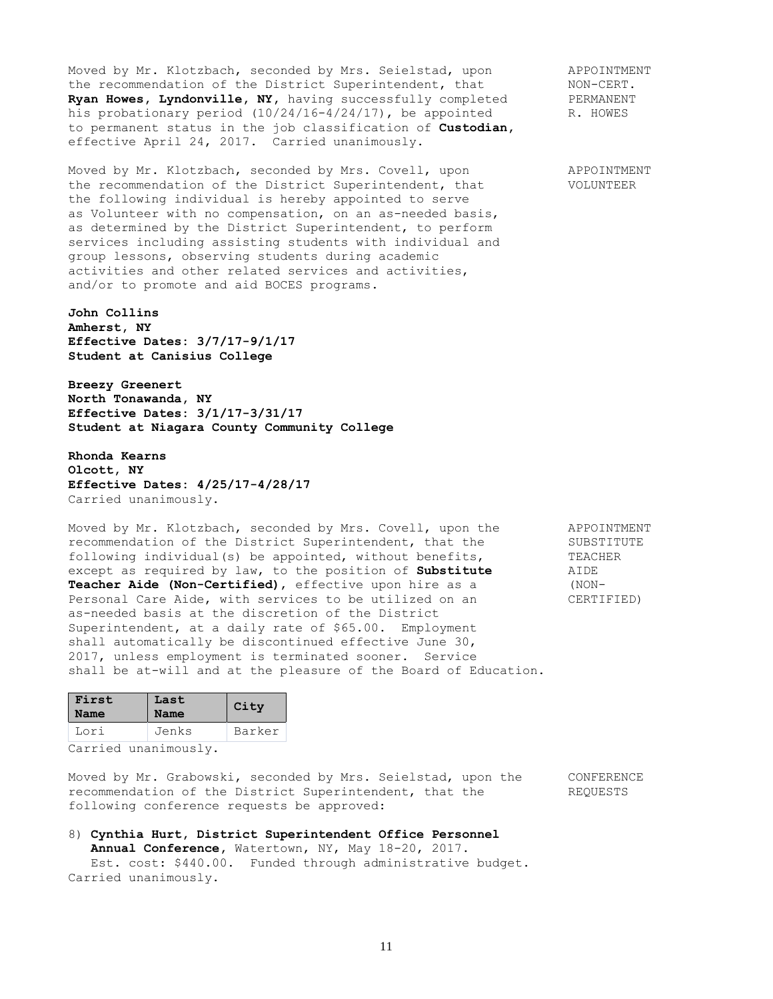Moved by Mr. Klotzbach, seconded by Mrs. Seielstad, upon APPOINTMENT the recommendation of the District Superintendent, that MON-CERT.<br> **Ryan Howes, Lyndonville, NY,** having successfully completed FERMANENT Ryan Howes, Lyndonville, NY, having successfully completed his probationary period (10/24/16-4/24/17), be appointed R. HOWES to permanent status in the job classification of **Custodian,** effective April 24, 2017. Carried unanimously.

Moved by Mr. Klotzbach, seconded by Mrs. Covell, upon APPOINTMENT the recommendation of the District Superintendent, that VOLUNTEER the following individual is hereby appointed to serve as Volunteer with no compensation, on an as-needed basis, as determined by the District Superintendent, to perform services including assisting students with individual and group lessons, observing students during academic activities and other related services and activities, and/or to promote and aid BOCES programs.

**John Collins Amherst, NY Effective Dates: 3/7/17-9/1/17 Student at Canisius College**

**Breezy Greenert North Tonawanda, NY Effective Dates: 3/1/17-3/31/17 Student at Niagara County Community College**

**Rhonda Kearns Olcott, NY Effective Dates: 4/25/17-4/28/17** Carried unanimously.

Moved by Mr. Klotzbach, seconded by Mrs. Covell, upon the APPOINTMENT recommendation of the District Superintendent, that the SUBSTITUTE following individual(s) be appointed, without benefits, TEACHER except as required by law, to the position of **Substitute** AIDE **Teacher Aide (Non-Certified)**, effective upon hire as a (NON-Personal Care Aide, with services to be utilized on an CERTIFIED) as-needed basis at the discretion of the District Superintendent, at a daily rate of \$65.00. Employment shall automatically be discontinued effective June 30, 2017, unless employment is terminated sooner. Service shall be at-will and at the pleasure of the Board of Education.

| First<br>Name | Last<br><b>Name</b> | City   |
|---------------|---------------------|--------|
| Lori          | Jenks               | Barker |
|               |                     |        |

Carried unanimously.

Moved by Mr. Grabowski, seconded by Mrs. Seielstad, upon the CONFERENCE recommendation of the District Superintendent, that the REQUESTS following conference requests be approved:

# 8) **Cynthia Hurt, District Superintendent Office Personnel Annual Conference,** Watertown, NY, May 18-20, 2017. Est. cost: \$440.00. Funded through administrative budget.

Carried unanimously.